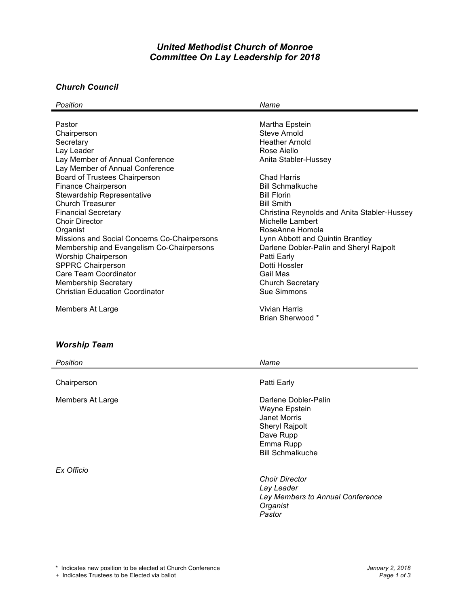# *United Methodist Church of Monroe Committee On Lay Leadership for 2018*

#### *Church Council*

| Position                                     | Name                                        |
|----------------------------------------------|---------------------------------------------|
|                                              |                                             |
| Pastor                                       | Martha Epstein                              |
| Chairperson                                  | Steve Arnold                                |
| Secretary                                    | <b>Heather Arnold</b>                       |
| Lay Leader                                   | Rose Aiello                                 |
| Lay Member of Annual Conference              | Anita Stabler-Hussey                        |
| Lay Member of Annual Conference              |                                             |
| Board of Trustees Chairperson                | Chad Harris                                 |
| Finance Chairperson                          | <b>Bill Schmalkuche</b>                     |
| <b>Stewardship Representative</b>            | <b>Bill Florin</b>                          |
| <b>Church Treasurer</b>                      | <b>Bill Smith</b>                           |
| <b>Financial Secretary</b>                   | Christina Reynolds and Anita Stabler-Hussey |
| <b>Choir Director</b>                        | Michelle Lambert                            |
| Organist                                     | RoseAnne Homola                             |
| Missions and Social Concerns Co-Chairpersons | Lynn Abbott and Quintin Brantley            |
| Membership and Evangelism Co-Chairpersons    | Darlene Dobler-Palin and Sheryl Rajpolt     |
| <b>Worship Chairperson</b>                   | Patti Early                                 |
| <b>SPPRC Chairperson</b>                     | Dotti Hossler                               |
| Care Team Coordinator                        | Gail Mas                                    |
| <b>Membership Secretary</b>                  | <b>Church Secretary</b>                     |
| <b>Christian Education Coordinator</b>       | Sue Simmons                                 |
| Members At Large                             | <b>Vivian Harris</b>                        |
|                                              | Brian Sherwood *                            |

### *Worship Team*

| Position         | Name                                                                                                                                |
|------------------|-------------------------------------------------------------------------------------------------------------------------------------|
| Chairperson      | Patti Early                                                                                                                         |
| Members At Large | Darlene Dobler-Palin<br>Wayne Epstein<br><b>Janet Morris</b><br>Sheryl Rajpolt<br>Dave Rupp<br>Emma Rupp<br><b>Bill Schmalkuche</b> |
| Ex Officio       | <b>Choir Director</b><br>Lay Leader<br>Lay Members to Annual Conference<br>Organist<br>Pastor                                       |

+ Indicates Trustees to be Elected via ballot *Page 1 of 3*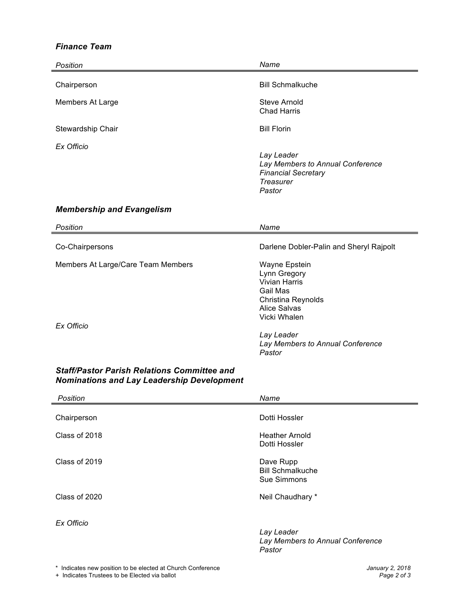### *Finance Team*

| Position                                                                                                | Name                                                                                                                                                                                |
|---------------------------------------------------------------------------------------------------------|-------------------------------------------------------------------------------------------------------------------------------------------------------------------------------------|
| Chairperson                                                                                             | <b>Bill Schmalkuche</b>                                                                                                                                                             |
| Members At Large                                                                                        | <b>Steve Arnold</b><br><b>Chad Harris</b>                                                                                                                                           |
| Stewardship Chair                                                                                       | <b>Bill Florin</b>                                                                                                                                                                  |
| Ex Officio                                                                                              | Lay Leader<br>Lay Members to Annual Conference<br><b>Financial Secretary</b><br><b>Treasurer</b><br>Pastor                                                                          |
| <b>Membership and Evangelism</b>                                                                        |                                                                                                                                                                                     |
| Position                                                                                                | Name                                                                                                                                                                                |
| Co-Chairpersons                                                                                         | Darlene Dobler-Palin and Sheryl Rajpolt                                                                                                                                             |
| Members At Large/Care Team Members<br>Ex Officio                                                        | Wayne Epstein<br>Lynn Gregory<br>Vivian Harris<br>Gail Mas<br>Christina Reynolds<br><b>Alice Salvas</b><br>Vicki Whalen<br>Lay Leader<br>Lay Members to Annual Conference<br>Pastor |
| <b>Staff/Pastor Parish Relations Committee and</b><br><b>Nominations and Lay Leadership Development</b> |                                                                                                                                                                                     |
| Position                                                                                                | Name                                                                                                                                                                                |
| Chairperson                                                                                             | Dotti Hossler                                                                                                                                                                       |
| Class of 2018                                                                                           | <b>Heather Arnold</b><br>Dotti Hossler                                                                                                                                              |
| Class of 2019                                                                                           | Dave Rupp<br><b>Bill Schmalkuche</b><br>Sue Simmons                                                                                                                                 |

Class of 2020 Class of 2020

*Ex Officio*

*Lay Leader Lay Members to Annual Conference Pastor*

+ Indicates Trustees to be Elected via ballot *Page 2 of 3*